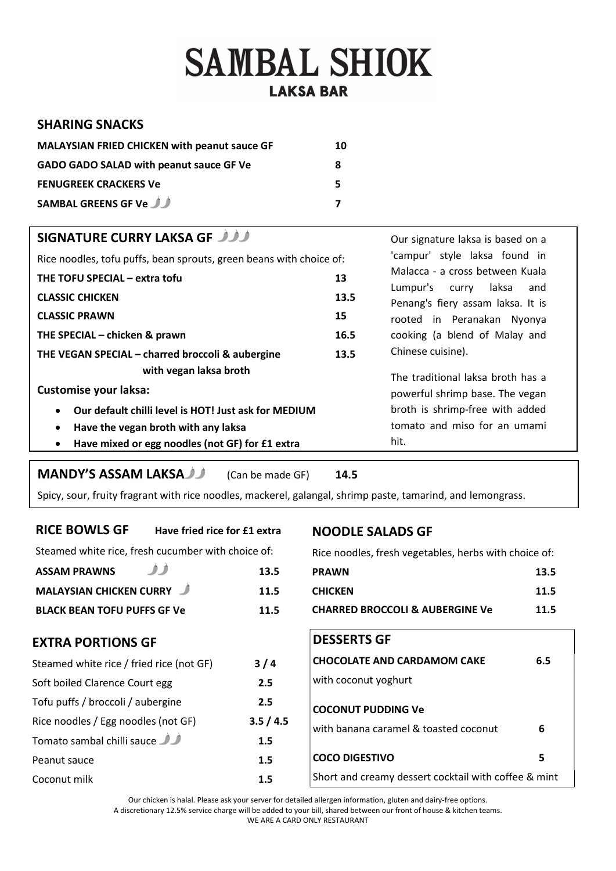## **SAMBAL SHIOK LAKSA BAR**

#### SHARING SNACKS

| <b>MALAYSIAN FRIED CHICKEN with peanut sauce GF</b> | 10 |
|-----------------------------------------------------|----|
| <b>GADO GADO SALAD with peanut sauce GF Ve</b>      | 8  |
| <b>FENUGREEK CRACKERS Ve</b>                        | 5. |
| SAMBAL GREENS GF Ve                                 |    |

| <b>SIGNATURE CURRY LAKSA GF JULI</b>                                |      | Our signature laksa is based on a                              |  |
|---------------------------------------------------------------------|------|----------------------------------------------------------------|--|
| Rice noodles, tofu puffs, bean sprouts, green beans with choice of: |      | 'campur' style laksa found in                                  |  |
| THE TOFU SPECIAL – extra tofu                                       | 13   | Malacca - a cross between Kuala<br>Lumpur's curry laksa<br>and |  |
| <b>CLASSIC CHICKEN</b>                                              | 13.5 | Penang's fiery assam laksa. It is                              |  |
| <b>CLASSIC PRAWN</b>                                                | 15   | rooted in Peranakan Nyonya                                     |  |
| THE SPECIAL - chicken & prawn<br>16.5                               |      | cooking (a blend of Malay and                                  |  |
| THE VEGAN SPECIAL - charred broccoli & aubergine<br>13.5            |      | Chinese cuisine).                                              |  |
| with vegan laksa broth                                              |      | The traditional laksa broth has a                              |  |
| <b>Customise your laksa:</b>                                        |      | powerful shrimp base. The vegan                                |  |
| Our default chilli level is HOT! Just ask for MEDIUM<br>$\bullet$   |      | broth is shrimp-free with added                                |  |
| Have the vegan broth with any laksa<br>$\bullet$                    |      | tomato and miso for an umami                                   |  |
| Have mixed or egg noodles (not GF) for £1 extra<br>$\bullet$        |      | hit.                                                           |  |

### MANDY'S ASSAM LAKSA (Can be made GF) 14.5

Spicy, sour, fruity fragrant with rice noodles, mackerel, galangal, shrimp paste, tamarind, and lemongrass.

#### RICE BOWLS GF Have fried rice for £1 extra

Steamed white rice, fresh cucumber with choice of:

#### NOODLE SALADS GF

Rice noodles, fresh vegetables, herbs with choice of:

| <b>ASSAM PRAWNS</b>                      | 13.5    | P |
|------------------------------------------|---------|---|
| <b>MALAYSIAN CHICKEN CURRY</b>           | 11.5    | C |
| <b>BLACK BEAN TOFU PUFFS GF Ve</b>       | 11.5    | C |
| <b>EXTRA PORTIONS GF</b>                 |         |   |
| Steamed white rice / fried rice (not GF) | 3/4     | C |
| Soft boiled Clarence Court egg           | 2.5     | V |
| Tofu puffs / broccoli / aubergine        | 2.5     | C |
| Rice noodles / Egg noodles (not GF)      | 3.5/4.5 | V |
| Tomato sambal chilli sauce               | 1.5     |   |
| Peanut sauce                             | 1.5     | C |
| Coconut milk                             | 1.5     | S |

| <b>DESSERTS GF</b> |  |
|--------------------|--|
|                    |  |

## with coconut yoghurt COCONUT PUDDING Ve with banana caramel  $\&$  toasted coconut  $\qquad \qquad$  6

| 1.5 |                                                      |  |
|-----|------------------------------------------------------|--|
| 1.5 | <b>COCO DIGESTIVO</b>                                |  |
| 1.5 | Short and creamy dessert cocktail with coffee & mint |  |
|     |                                                      |  |

Our chicken is halal. Please ask your server for detailed allergen information, gluten and dairy-free options. A discretionary 12.5% service charge will be added to your bill, shared between our front of house & kitchen teams. WE ARE A CARD ONLY RESTAURANT